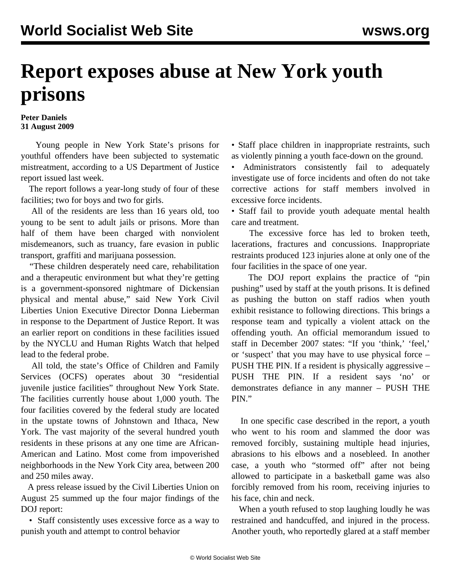## **Report exposes abuse at New York youth prisons**

## **Peter Daniels 31 August 2009**

 Young people in New York State's prisons for youthful offenders have been subjected to systematic mistreatment, according to a US Department of Justice report issued last week.

 The report follows a year-long study of four of these facilities; two for boys and two for girls.

 All of the residents are less than 16 years old, too young to be sent to adult jails or prisons. More than half of them have been charged with nonviolent misdemeanors, such as truancy, fare evasion in public transport, graffiti and marijuana possession.

 "These children desperately need care, rehabilitation and a therapeutic environment but what they're getting is a government-sponsored nightmare of Dickensian physical and mental abuse," said New York Civil Liberties Union Executive Director Donna Lieberman in response to the Department of Justice Report. It was an earlier report on conditions in these facilities issued by the NYCLU and Human Rights Watch that helped lead to the federal probe.

 All told, the state's Office of Children and Family Services (OCFS) operates about 30 "residential juvenile justice facilities" throughout New York State. The facilities currently house about 1,000 youth. The four facilities covered by the federal study are located in the upstate towns of Johnstown and Ithaca, New York. The vast majority of the several hundred youth residents in these prisons at any one time are African-American and Latino. Most come from impoverished neighborhoods in the New York City area, between 200 and 250 miles away.

 A press release issued by the Civil Liberties Union on August 25 summed up the four major findings of the DOJ report:

 • Staff consistently uses excessive force as a way to punish youth and attempt to control behavior

• Staff place children in inappropriate restraints, such as violently pinning a youth face-down on the ground.

• Administrators consistently fail to adequately investigate use of force incidents and often do not take corrective actions for staff members involved in excessive force incidents.

• Staff fail to provide youth adequate mental health care and treatment.

 The excessive force has led to broken teeth, lacerations, fractures and concussions. Inappropriate restraints produced 123 injuries alone at only one of the four facilities in the space of one year.

 The DOJ report explains the practice of "pin pushing" used by staff at the youth prisons. It is defined as pushing the button on staff radios when youth exhibit resistance to following directions. This brings a response team and typically a violent attack on the offending youth. An official memorandum issued to staff in December 2007 states: "If you 'think,' 'feel,' or 'suspect' that you may have to use physical force – PUSH THE PIN. If a resident is physically aggressive – PUSH THE PIN. If a resident says 'no' or demonstrates defiance in any manner – PUSH THE PIN."

 In one specific case described in the report, a youth who went to his room and slammed the door was removed forcibly, sustaining multiple head injuries, abrasions to his elbows and a nosebleed. In another case, a youth who "stormed off" after not being allowed to participate in a basketball game was also forcibly removed from his room, receiving injuries to his face, chin and neck.

 When a youth refused to stop laughing loudly he was restrained and handcuffed, and injured in the process. Another youth, who reportedly glared at a staff member